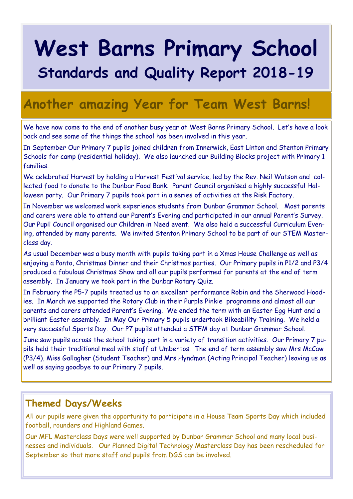# **West Barns Primary School Standards and Quality Report 2018-19**

### **Another amazing Year for Team West Barns!**

We have now come to the end of another busy year at West Barns Primary School. Let's have a look back and see some of the things the school has been involved in this year.

In September Our Primary 7 pupils joined children from Innerwick, East Linton and Stenton Primary Schools for camp (residential holiday). We also launched our Building Blocks project with Primary 1 families.

We celebrated Harvest by holding a Harvest Festival service, led by the Rev. Neil Watson and collected food to donate to the Dunbar Food Bank. Parent Council organised a highly successful Halloween party. Our Primary 7 pupils took part in a series of activities at the Risk Factory.

In November we welcomed work experience students from Dunbar Grammar School. Most parents and carers were able to attend our Parent's Evening and participated in our annual Parent's Survey. Our Pupil Council organised our Children in Need event. We also held a successful Curriculum Evening, attended by many parents. We invited Stenton Primary School to be part of our STEM Masterclass day.

As usual December was a busy month with pupils taking part in a Xmas House Challenge as well as enjoying a Panto, Christmas Dinner and their Christmas parties. Our Primary pupils in P1/2 and P3/4 produced a fabulous Christmas Show and all our pupils performed for parents at the end of term assembly. In January we took part in the Dunbar Rotary Quiz.

In February the P5-7 pupils treated us to an excellent performance Robin and the Sherwood Hoodies. In March we supported the Rotary Club in their Purple Pinkie programme and almost all our parents and carers attended Parent's Evening. We ended the term with an Easter Egg Hunt and a brilliant Easter assembly. In May Our Primary 5 pupils undertook Bikeability Training. We held a very successful Sports Day. Our P7 pupils attended a STEM day at Dunbar Grammar School.

June saw pupils across the school taking part in a variety of transition activities. Our Primary 7 pupils held their traditional meal with staff at Umbertos. The end of term assembly saw Mrs McCaw (P3/4), Miss Gallagher (Student Teacher) and Mrs Hyndman (Acting Principal Teacher) leaving us as well as saying goodbye to our Primary 7 pupils.

#### **Themed Days/Weeks**

All our pupils were given the opportunity to participate in a House Team Sports Day which included football, rounders and Highland Games.

Our MFL Masterclass Days were well supported by Dunbar Grammar School and many local businesses and individuals. Our Planned Digital Technology Masterclass Day has been rescheduled for September so that more staff and pupils from DGS can be involved.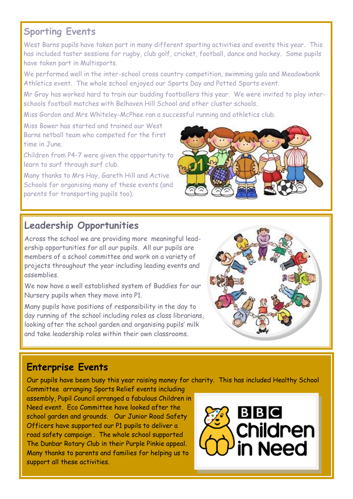#### **Sporting Events**

West Barns pupils have taken part in many different sporting activities and events this year. This has included taster sessions for rugby, club golf, cricket, football, dance and hockey. Some pupils have taken part in Multisports.

We performed well in the inter-school cross country competition, swimming gala and Meadowbank Athletics event. The whole school enjoyed our Sports Day and Potted Sports event.

Mr Gray has worked hard to train our budding footballers this year. We were invited to play interschools football matches with Belhaven Hill School and other cluster schools.

Miss Gordon and Mrs Whiteley-McPhee ran a successful running and athletics club.

Miss Bower has started and trained our West Barns netball team who competed for the first time in June.

Children from P4-7 were given the opportunity to learn to surf through surf club.

Many thanks to Mrs Hay, Gareth Hill and Active Schools for organising many of these events (and parents for transporting pupils too).



#### **Leadership Opportunities**

Across the school we are providing more meaningful leadership opportunities for all our pupils. All our pupils are members of a school committee and work on a variety of projects throughout the year including leading events and assemblies.

We now have a well established system of Buddies for our Nursery pupils when they move into P1.

Many pupils have positions of responsibility in the day to day running of the school including roles as class librarians, looking after the school garden and organising pupils' milk and take leadership roles within their own classrooms.



#### **Enterprise Events**

Our pupils have been busy this year raising money for charity. This has included Healthy School

Committee arranging Sports Relief events including assembly, Pupil Council arranged a fabulous Children in Need event. Eco Committee have looked after the school garden and grounds. Our Junior Road Safety Officers have supported our P1 pupils to deliver a road safety campaign . The whole school supported The Dunbar Rotary Club in their Purple Pinkie appeal. Many thanks to parents and families for helping us to support all these activities.

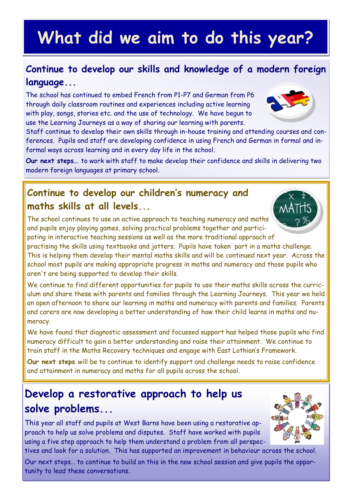## **What did we aim to do this year?**

#### **Continue to develop our skills and knowledge of a modern foreign language...**

The school has continued to embed French from P1-P7 and German from P6 through daily classroom routines and experiences including active learning with play, songs, stories etc. and the use of technology. We have begun to use the Learning Journeys as a way of sharing our learning with parents.

Staff continue to develop their own skills through in-house training and attending courses and conferences. Pupils and staff are developing confidence in using French and German in formal and informal ways across learning and in every day life in the school.

**Our next steps…** to work with staff to make develop their confidence and skills in delivering two modern foreign languages at primary school.

#### **Continue to develop our children's numeracy and maths skills at all levels...**

The school continues to use an active approach to teaching numeracy and maths and pupils enjoy playing games, solving practical problems together and participating in interactive teaching sessions as well as the more traditional approach of

practising the skills using textbooks and jotters. Pupils have taken part in a maths challenge. This is helping them develop their mental maths skills and will be continued next year. Across the school most pupils are making appropriate progress in maths and numeracy and those pupils who aren't are being supported to develop their skills.

We continue to find different opportunities for pupils to use their maths skills across the curriculum and share these with parents and families through the Learning Journeys. This year we held an open afternoon to share our learning in maths and numeracy with parents and families. Parents and carers are now developing a better understanding of how their child learns in maths and numeracy.

We have found that diagnostic assessment and focussed support has helped those pupils who find numeracy difficult to gain a better understanding and raise their attainment. We continue to train staff in the Maths Recovery techniques and engage with East Lothian's Framework.

**Our next steps** will be to continue to identify support and challenge needs to raise confidence and attainment in numeracy and maths for all pupils across the school.

#### **Develop a restorative approach to help us solve problems...**

This year all staff and pupils at West Barns have been using a restorative approach to help us solve problems and disputes. Staff have worked with pupils using a five step approach to help them understand a problem from all perspectives and look for a solution. This has supported an improvement in behaviour across the school.

Our next steps… to continue to build on this in the new school session and give pupils the opportunity to lead these conversations.